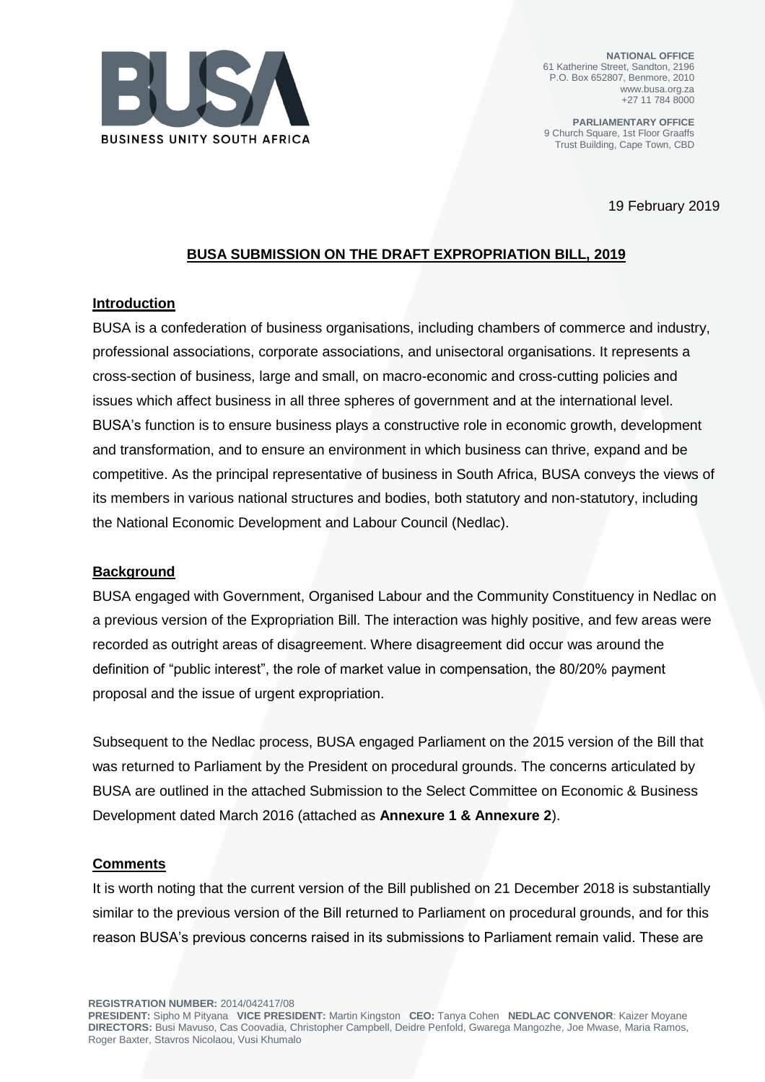

**NATIONAL OFFICE** 61 Katherine Street, Sandton, 2196 P.O. Box 652807, Benmore, 2010 www.busa.org.za +27 11 784 8000

**PARLIAMENTARY OFFICE** 9 Church Square, 1st Floor Graaffs Trust Building, Cape Town, CBD

19 February 2019

## **BUSA SUBMISSION ON THE DRAFT EXPROPRIATION BILL, 2019**

### **Introduction**

BUSA is a confederation of business organisations, including chambers of commerce and industry, professional associations, corporate associations, and unisectoral organisations. It represents a cross-section of business, large and small, on macro-economic and cross-cutting policies and issues which affect business in all three spheres of government and at the international level. BUSA's function is to ensure business plays a constructive role in economic growth, development and transformation, and to ensure an environment in which business can thrive, expand and be competitive. As the principal representative of business in South Africa, BUSA conveys the views of its members in various national structures and bodies, both statutory and non-statutory, including the National Economic Development and Labour Council (Nedlac).

### **Background**

BUSA engaged with Government, Organised Labour and the Community Constituency in Nedlac on a previous version of the Expropriation Bill. The interaction was highly positive, and few areas were recorded as outright areas of disagreement. Where disagreement did occur was around the definition of "public interest", the role of market value in compensation, the 80/20% payment proposal and the issue of urgent expropriation.

Subsequent to the Nedlac process, BUSA engaged Parliament on the 2015 version of the Bill that was returned to Parliament by the President on procedural grounds. The concerns articulated by BUSA are outlined in the attached Submission to the Select Committee on Economic & Business Development dated March 2016 (attached as **Annexure 1 & Annexure 2**).

#### **Comments**

It is worth noting that the current version of the Bill published on 21 December 2018 is substantially similar to the previous version of the Bill returned to Parliament on procedural grounds, and for this reason BUSA's previous concerns raised in its submissions to Parliament remain valid. These are

**REGISTRATION NUMBER:** 2014/042417/08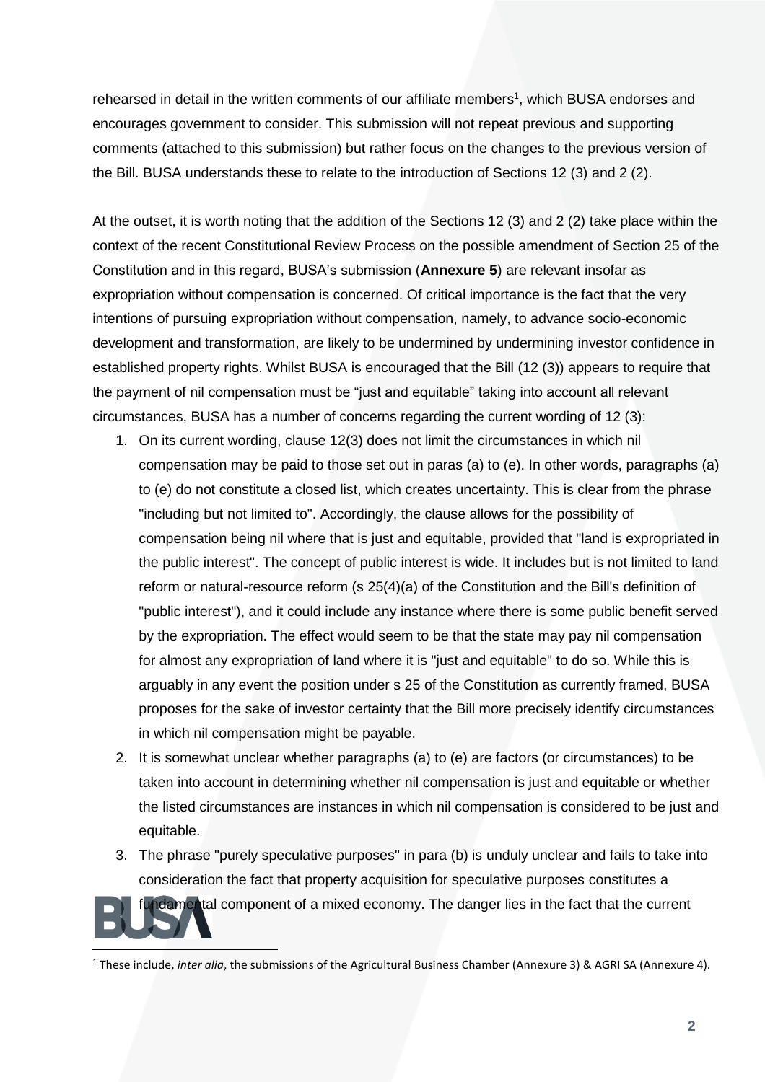rehearsed in detail in the written comments of our affiliate members<sup>1</sup>, which BUSA endorses and encourages government to consider. This submission will not repeat previous and supporting comments (attached to this submission) but rather focus on the changes to the previous version of the Bill. BUSA understands these to relate to the introduction of Sections 12 (3) and 2 (2).

At the outset, it is worth noting that the addition of the Sections 12 (3) and 2 (2) take place within the context of the recent Constitutional Review Process on the possible amendment of Section 25 of the Constitution and in this regard, BUSA's submission (**Annexure 5**) are relevant insofar as expropriation without compensation is concerned. Of critical importance is the fact that the very intentions of pursuing expropriation without compensation, namely, to advance socio-economic development and transformation, are likely to be undermined by undermining investor confidence in established property rights. Whilst BUSA is encouraged that the Bill (12 (3)) appears to require that the payment of nil compensation must be "just and equitable" taking into account all relevant circumstances, BUSA has a number of concerns regarding the current wording of 12 (3):

- 1. On its current wording, clause 12(3) does not limit the circumstances in which nil compensation may be paid to those set out in paras (a) to (e). In other words, paragraphs (a) to (e) do not constitute a closed list, which creates uncertainty. This is clear from the phrase "including but not limited to". Accordingly, the clause allows for the possibility of compensation being nil where that is just and equitable, provided that "land is expropriated in the public interest". The concept of public interest is wide. It includes but is not limited to land reform or natural-resource reform (s 25(4)(a) of the Constitution and the Bill's definition of "public interest"), and it could include any instance where there is some public benefit served by the expropriation. The effect would seem to be that the state may pay nil compensation for almost any expropriation of land where it is "just and equitable" to do so. While this is arguably in any event the position under s 25 of the Constitution as currently framed, BUSA proposes for the sake of investor certainty that the Bill more precisely identify circumstances in which nil compensation might be payable.
- 2. It is somewhat unclear whether paragraphs (a) to (e) are factors (or circumstances) to be taken into account in determining whether nil compensation is just and equitable or whether the listed circumstances are instances in which nil compensation is considered to be just and equitable.
- 3. The phrase "purely speculative purposes" in para (b) is unduly unclear and fails to take into consideration the fact that property acquisition for speculative purposes constitutes a

fundamental component of a mixed economy. The danger lies in the fact that the current

 $\overline{a}$ 

<sup>1</sup> These include, *inter alia*, the submissions of the Agricultural Business Chamber (Annexure 3) & AGRI SA (Annexure 4).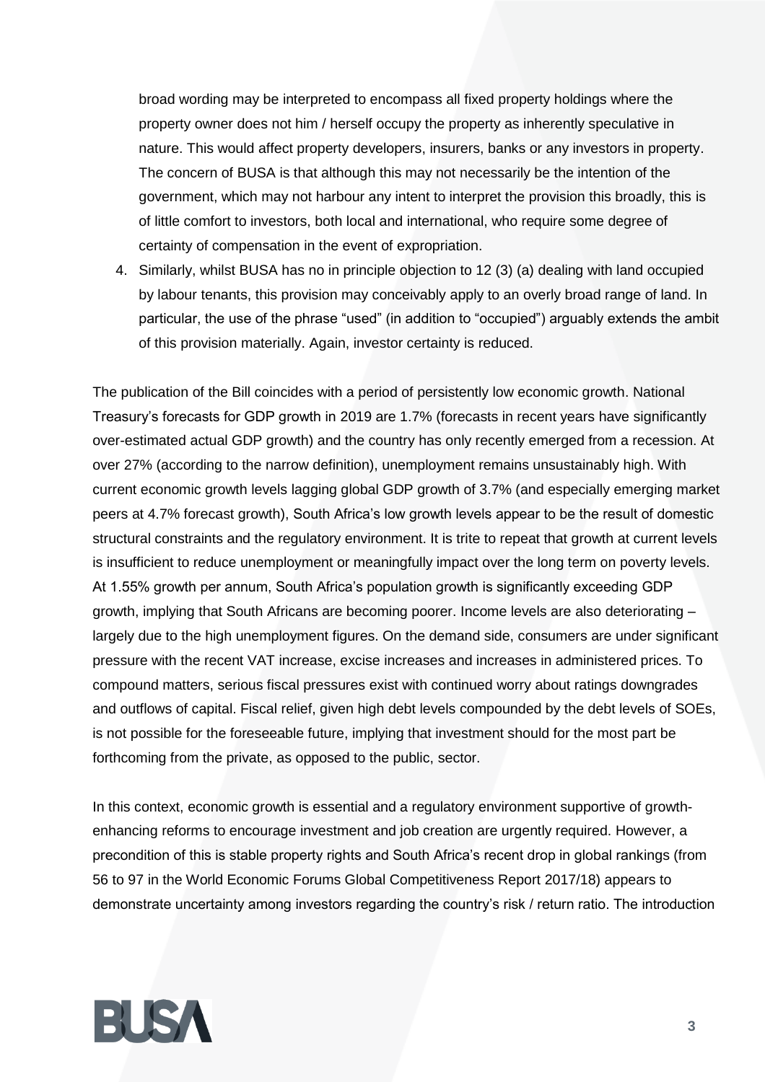broad wording may be interpreted to encompass all fixed property holdings where the property owner does not him / herself occupy the property as inherently speculative in nature. This would affect property developers, insurers, banks or any investors in property. The concern of BUSA is that although this may not necessarily be the intention of the government, which may not harbour any intent to interpret the provision this broadly, this is of little comfort to investors, both local and international, who require some degree of certainty of compensation in the event of expropriation.

4. Similarly, whilst BUSA has no in principle objection to 12 (3) (a) dealing with land occupied by labour tenants, this provision may conceivably apply to an overly broad range of land. In particular, the use of the phrase "used" (in addition to "occupied") arguably extends the ambit of this provision materially. Again, investor certainty is reduced.

The publication of the Bill coincides with a period of persistently low economic growth. National Treasury's forecasts for GDP growth in 2019 are 1.7% (forecasts in recent years have significantly over-estimated actual GDP growth) and the country has only recently emerged from a recession. At over 27% (according to the narrow definition), unemployment remains unsustainably high. With current economic growth levels lagging global GDP growth of 3.7% (and especially emerging market peers at 4.7% forecast growth), South Africa's low growth levels appear to be the result of domestic structural constraints and the regulatory environment. It is trite to repeat that growth at current levels is insufficient to reduce unemployment or meaningfully impact over the long term on poverty levels. At 1.55% growth per annum, South Africa's population growth is significantly exceeding GDP growth, implying that South Africans are becoming poorer. Income levels are also deteriorating – largely due to the high unemployment figures. On the demand side, consumers are under significant pressure with the recent VAT increase, excise increases and increases in administered prices. To compound matters, serious fiscal pressures exist with continued worry about ratings downgrades and outflows of capital. Fiscal relief, given high debt levels compounded by the debt levels of SOEs, is not possible for the foreseeable future, implying that investment should for the most part be forthcoming from the private, as opposed to the public, sector.

In this context, economic growth is essential and a regulatory environment supportive of growthenhancing reforms to encourage investment and job creation are urgently required. However, a precondition of this is stable property rights and South Africa's recent drop in global rankings (from 56 to 97 in the World Economic Forums Global Competitiveness Report 2017/18) appears to demonstrate uncertainty among investors regarding the country's risk / return ratio. The introduction